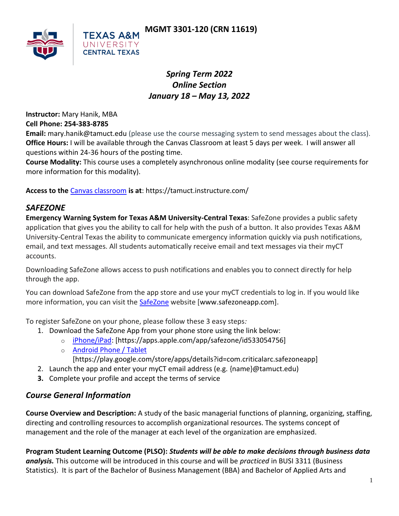

# *Spring Term 2022 Online Section January 18 – May 13, 2022*

**Instructor:** Mary Hanik, MBA

**Cell Phone: 254-383-8785**

**Email:** mary.hanik@tamuct.edu (please use the course messaging system to send messages about the class). **Office Hours:** I will be available through the Canvas Classroom at least 5 days per week. I will answer all questions within 24-36 hours of the posting time.

**Course Modality:** This course uses a completely asynchronous online modality (see course requirements for more information for this modality).

**Access to the** [Canvas classroom](https://tamuct.instructure.com/) **is at**: https://tamuct.instructure.com/

# *SAFEZONE*

**Emergency Warning System for Texas A&M University-Central Texas**: SafeZone provides a public safety application that gives you the ability to call for help with the push of a button. It also provides Texas A&M University-Central Texas the ability to communicate emergency information quickly via push notifications, email, and text messages. All students automatically receive email and text messages via their myCT accounts.

Downloading SafeZone allows access to push notifications and enables you to connect directly for help through the app.

You can download SafeZone from the app store and use your myCT credentials to log in. If you would like more information, you can visit the [SafeZone](http://www.safezoneapp.com/) website [www.safezoneapp.com].

To register SafeZone on your phone, please follow these 3 easy steps*:*

- 1. Download the SafeZone App from your phone store using the link below:
	- o [iPhone/iPad:](https://apps.apple.com/app/safezone/id533054756) [https://apps.apple.com/app/safezone/id533054756]
	- o [Android Phone / Tablet](https://play.google.com/store/apps/details?id=com.criticalarc.safezoneapp)
		- [https://play.google.com/store/apps/details?id=com.criticalarc.safezoneapp]
- 2. Launch the app and enter your myCT email address (e.g. {name}@tamuct.edu)
- **3.** Complete your profile and accept the terms of service

# *Course General Information*

**Course Overview and Description:** A study of the basic managerial functions of planning, organizing, staffing, directing and controlling resources to accomplish organizational resources. The systems concept of management and the role of the manager at each level of the organization are emphasized.

**Program Student Learning Outcome (PLSO):** *Students will be able to make decisions through business data analysis.* This outcome will be introduced in this course and will be *practiced* in BUSI 3311 (Business Statistics). It is part of the Bachelor of Business Management (BBA) and Bachelor of Applied Arts and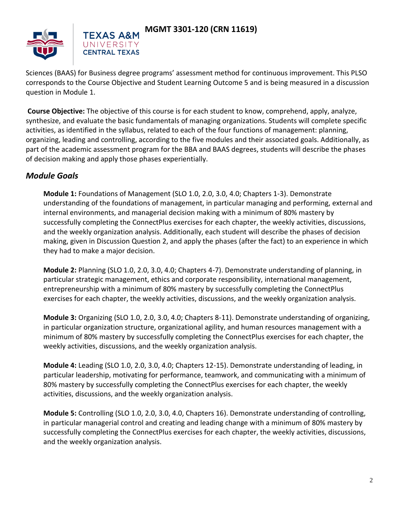

Sciences (BAAS) for Business degree programs' assessment method for continuous improvement. This PLSO corresponds to the Course Objective and Student Learning Outcome 5 and is being measured in a discussion question in Module 1.

**Course Objective:** The objective of this course is for each student to know, comprehend, apply, analyze, synthesize, and evaluate the basic fundamentals of managing organizations. Students will complete specific activities, as identified in the syllabus, related to each of the four functions of management: planning, organizing, leading and controlling, according to the five modules and their associated goals. Additionally, as part of the academic assessment program for the BBA and BAAS degrees, students will describe the phases of decision making and apply those phases experientially.

## *Module Goals*

**Module 1:** Foundations of Management (SLO 1.0, 2.0, 3.0, 4.0; Chapters 1-3). Demonstrate understanding of the foundations of management, in particular managing and performing, external and internal environments, and managerial decision making with a minimum of 80% mastery by successfully completing the ConnectPlus exercises for each chapter, the weekly activities, discussions, and the weekly organization analysis. Additionally, each student will describe the phases of decision making, given in Discussion Question 2, and apply the phases (after the fact) to an experience in which they had to make a major decision.

**Module 2:** Planning (SLO 1.0, 2.0, 3.0, 4.0; Chapters 4-7). Demonstrate understanding of planning, in particular strategic management, ethics and corporate responsibility, international management, entrepreneurship with a minimum of 80% mastery by successfully completing the ConnectPlus exercises for each chapter, the weekly activities, discussions, and the weekly organization analysis.

**Module 3:** Organizing (SLO 1.0, 2.0, 3.0, 4.0; Chapters 8-11). Demonstrate understanding of organizing, in particular organization structure, organizational agility, and human resources management with a minimum of 80% mastery by successfully completing the ConnectPlus exercises for each chapter, the weekly activities, discussions, and the weekly organization analysis.

**Module 4:** Leading (SLO 1.0, 2.0, 3.0, 4.0; Chapters 12-15). Demonstrate understanding of leading, in particular leadership, motivating for performance, teamwork, and communicating with a minimum of 80% mastery by successfully completing the ConnectPlus exercises for each chapter, the weekly activities, discussions, and the weekly organization analysis.

**Module 5:** Controlling (SLO 1.0, 2.0, 3.0, 4.0, Chapters 16). Demonstrate understanding of controlling, in particular managerial control and creating and leading change with a minimum of 80% mastery by successfully completing the ConnectPlus exercises for each chapter, the weekly activities, discussions, and the weekly organization analysis.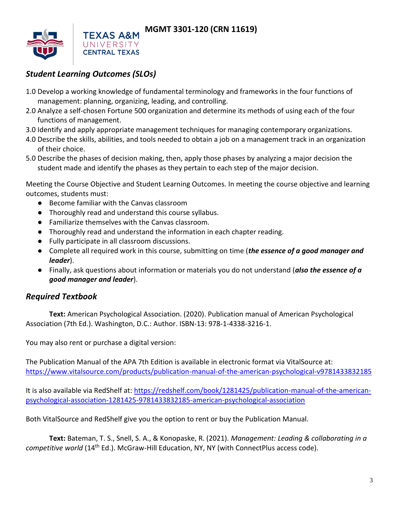

# *Student Learning Outcomes (SLOs)*

- 1.0 Develop a working knowledge of fundamental terminology and frameworks in the four functions of management: planning, organizing, leading, and controlling.
- 2.0 Analyze a self-chosen Fortune 500 organization and determine its methods of using each of the four functions of management.
- 3.0 Identify and apply appropriate management techniques for managing contemporary organizations.
- 4.0 Describe the skills, abilities, and tools needed to obtain a job on a management track in an organization of their choice.
- 5.0 Describe the phases of decision making, then, apply those phases by analyzing a major decision the student made and identify the phases as they pertain to each step of the major decision.

Meeting the Course Objective and Student Learning Outcomes. In meeting the course objective and learning outcomes, students must:

- Become familiar with the Canvas classroom
- Thoroughly read and understand this course syllabus.
- Familiarize themselves with the Canvas classroom.
- Thoroughly read and understand the information in each chapter reading.
- Fully participate in all classroom discussions.
- Complete all required work in this course, submitting on time (*the essence of a good manager and leader*).
- Finally, ask questions about information or materials you do not understand (*also the essence of a good manager and leader*).

## *Required Textbook*

**Text:** American Psychological Association. (2020). Publication manual of American Psychological Association (7th Ed.). Washington, D.C.: Author. ISBN-13: 978-1-4338-3216-1.

You may also rent or purchase a digital version:

The Publication Manual of the APA 7th Edition is available in electronic format via VitalSource at: <https://www.vitalsource.com/products/publication-manual-of-the-american-psychological-v9781433832185>

It is also available via RedShelf at: [https://redshelf.com/book/1281425/publication-manual-of-the-american](https://redshelf.com/book/1281425/publication-manual-of-the-american-psychological-association-1281425-9781433832185-american-psychological-association)[psychological-association-1281425-9781433832185-american-psychological-association](https://redshelf.com/book/1281425/publication-manual-of-the-american-psychological-association-1281425-9781433832185-american-psychological-association)

Both VitalSource and RedShelf give you the option to rent or buy the Publication Manual.

**Text:** Bateman, T. S., Snell, S. A., & Konopaske, R. (2021). *Management: Leading & collaborating in a competitive world* (14th Ed.). McGraw-Hill Education, NY, NY (with ConnectPlus access code).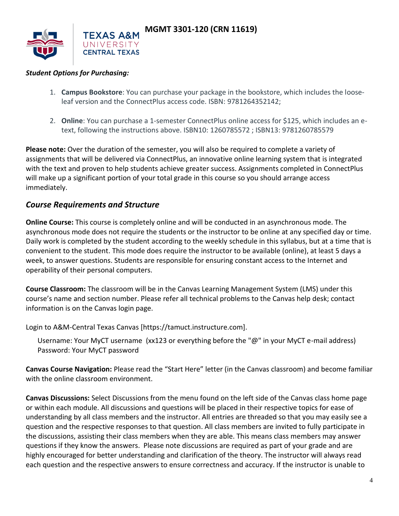

#### *Student Options for Purchasing:*

- 1. **Campus Bookstore**: You can purchase your package in the bookstore, which includes the looseleaf version and the ConnectPlus access code. ISBN: 9781264352142;
- 2. **Online**: You can purchase a 1-semester ConnectPlus online access for \$125, which includes an etext, following the instructions above. ISBN10: 1260785572 ; ISBN13: 9781260785579

**Please note:** Over the duration of the semester, you will also be required to complete a variety of assignments that will be delivered via ConnectPlus, an innovative online learning system that is integrated with the text and proven to help students achieve greater success. Assignments completed in ConnectPlus will make up a significant portion of your total grade in this course so you should arrange access immediately.

#### *Course Requirements and Structure*

**Online Course:** This course is completely online and will be conducted in an asynchronous mode. The asynchronous mode does not require the students or the instructor to be online at any specified day or time. Daily work is completed by the student according to the weekly schedule in this syllabus, but at a time that is convenient to the student. This mode does require the instructor to be available (online), at least 5 days a week, to answer questions. Students are responsible for ensuring constant access to the Internet and operability of their personal computers.

**Course Classroom:** The classroom will be in the Canvas Learning Management System (LMS) under this course's name and section number. Please refer all technical problems to the Canvas help desk; contact information is on the Canvas login page.

Login to A&M-Central Texas Canvas [https://tamuct.instructure.com].

Username: Your MyCT username (xx123 or everything before the "@" in your MyCT e-mail address) Password: Your MyCT password

**Canvas Course Navigation:** Please read the "Start Here" letter (in the Canvas classroom) and become familiar with the online classroom environment.

**Canvas Discussions:** Select Discussions from the menu found on the left side of the Canvas class home page or within each module. All discussions and questions will be placed in their respective topics for ease of understanding by all class members and the instructor. All entries are threaded so that you may easily see a question and the respective responses to that question. All class members are invited to fully participate in the discussions, assisting their class members when they are able. This means class members may answer questions if they know the answers. Please note discussions are required as part of your grade and are highly encouraged for better understanding and clarification of the theory. The instructor will always read each question and the respective answers to ensure correctness and accuracy. If the instructor is unable to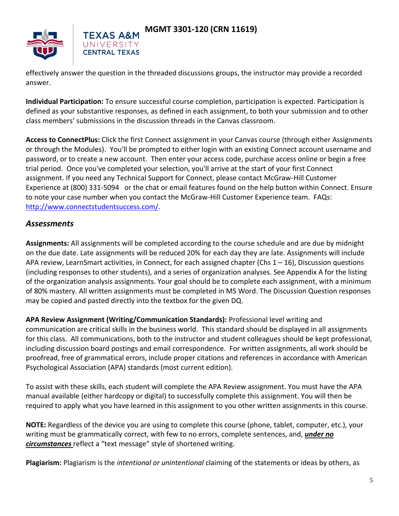



effectively answer the question in the threaded discussions groups, the instructor may provide a recorded answer.

**Individual Participation:** To ensure successful course completion, participation is expected. Participation is defined as your substantive responses, as defined in each assignment, to both your submission and to other class members' submissions in the discussion threads in the Canvas classroom.

**Access to ConnectPlus:** Click the first Connect assignment in your Canvas course (through either Assignments or through the Modules). You'll be prompted to either login with an existing Connect account username and password, or to create a new account. Then enter your access code, purchase access online or begin a free trial period. Once you've completed your selection, you'll arrive at the start of your first Connect assignment. If you need any Technical Support for Connect, please contact McGraw-Hill Customer Experience at (800) 331-5094 or the chat or email features found on the help button within Connect. Ensure to note your case number when you contact the McGraw-Hill Customer Experience team. FAQs: [http://www.connectstudentsuccess.com/.](http://www.connectstudentsuccess.com/)

#### *Assessments*

**Assignments:** All assignments will be completed according to the course schedule and are due by midnight on the due date. Late assignments will be reduced 20% for each day they are late. Assignments will include APA review, LearnSmart activities, in Connect, for each assigned chapter (Chs  $1 - 16$ ), Discussion questions (including responses to other students), and a series of organization analyses. See Appendix A for the listing of the organization analysis assignments. Your goal should be to complete each assignment, with a minimum of 80% mastery. All written assignments must be completed in MS Word. The Discussion Question responses may be copied and pasted directly into the textbox for the given DQ.

**APA Review Assignment (Writing/Communication Standards):** Professional level writing and communication are critical skills in the business world. This standard should be displayed in all assignments for this class. All communications, both to the instructor and student colleagues should be kept professional, including discussion board postings and email correspondence. For written assignments, all work should be proofread, free of grammatical errors, include proper citations and references in accordance with American Psychological Association (APA) standards (most current edition).

To assist with these skills, each student will complete the APA Review assignment. You must have the APA manual available (either hardcopy or digital) to successfully complete this assignment. You will then be required to apply what you have learned in this assignment to you other written assignments in this course.

**NOTE:** Regardless of the device you are using to complete this course (phone, tablet, computer, etc.), your writing must be grammatically correct, with few to no errors, complete sentences, and, *under no circumstances* reflect a "text message" style of shortened writing.

**Plagiarism:** Plagiarism is the *intentional or unintentional* claiming of the statements or ideas by others, as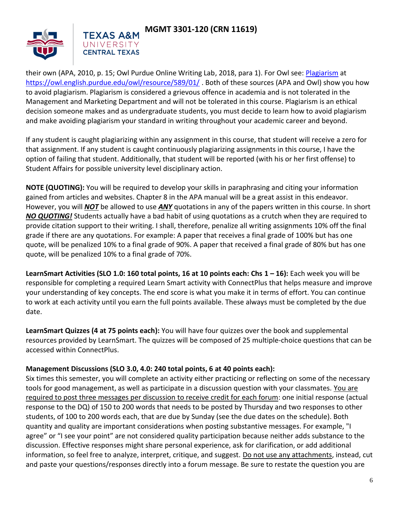



their own (APA, 2010, p. 15; Owl Purdue Online Writing Lab, 2018, para 1). For Owl see: [Plagiarism](https://owl.english.purdue.edu/owl/resource/589/01/) at <https://owl.english.purdue.edu/owl/resource/589/01/>. Both of these sources (APA and Owl) show you how to avoid plagiarism. Plagiarism is considered a grievous offence in academia and is not tolerated in the Management and Marketing Department and will not be tolerated in this course. Plagiarism is an ethical decision someone makes and as undergraduate students, you must decide to learn how to avoid plagiarism and make avoiding plagiarism your standard in writing throughout your academic career and beyond.

If any student is caught plagiarizing within any assignment in this course, that student will receive a zero for that assignment. If any student is caught continuously plagiarizing assignments in this course, I have the option of failing that student. Additionally, that student will be reported (with his or her first offense) to Student Affairs for possible university level disciplinary action.

**NOTE (QUOTING):** You will be required to develop your skills in paraphrasing and citing your information gained from articles and websites. Chapter 8 in the APA manual will be a great assist in this endeavor. However, you will *NOT* be allowed to use *ANY* quotations in any of the papers written in this course. In short *NO QUOTING!* Students actually have a bad habit of using quotations as a crutch when they are required to provide citation support to their writing. I shall, therefore, penalize all writing assignments 10% off the final grade if there are any quotations. For example: A paper that receives a final grade of 100% but has one quote, will be penalized 10% to a final grade of 90%. A paper that received a final grade of 80% but has one quote, will be penalized 10% to a final grade of 70%.

**LearnSmart Activities (SLO 1.0: 160 total points, 16 at 10 points each: Chs 1 – 16): Each week you will be** responsible for completing a required Learn Smart activity with ConnectPlus that helps measure and improve your understanding of key concepts. The end score is what you make it in terms of effort. You can continue to work at each activity until you earn the full points available. These always must be completed by the due date.

**LearnSmart Quizzes (4 at 75 points each):** You will have four quizzes over the book and supplemental resources provided by LearnSmart. The quizzes will be composed of 25 multiple-choice questions that can be accessed within ConnectPlus.

#### **Management Discussions (SLO 3.0, 4.0: 240 total points, 6 at 40 points each):**

Six times this semester, you will complete an activity either practicing or reflecting on some of the necessary tools for good management, as well as participate in a discussion question with your classmates. You are required to post three messages per discussion to receive credit for each forum: one initial response (actual response to the DQ) of 150 to 200 words that needs to be posted by Thursday and two responses to other students, of 100 to 200 words each, that are due by Sunday (see the due dates on the schedule). Both quantity and quality are important considerations when posting substantive messages. For example, "I agree" or "I see your point" are not considered quality participation because neither adds substance to the discussion. Effective responses might share personal experience, ask for clarification, or add additional information, so feel free to analyze, interpret, critique, and suggest. Do not use any attachments, instead, cut and paste your questions/responses directly into a forum message. Be sure to restate the question you are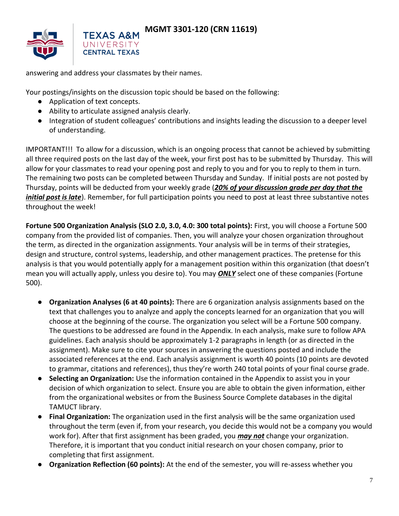

answering and address your classmates by their names.

Your postings/insights on the discussion topic should be based on the following:

- Application of text concepts.
- Ability to articulate assigned analysis clearly.
- Integration of student colleagues' contributions and insights leading the discussion to a deeper level of understanding.

IMPORTANT!!! To allow for a discussion, which is an ongoing process that cannot be achieved by submitting all three required posts on the last day of the week, your first post has to be submitted by Thursday. This will allow for your classmates to read your opening post and reply to you and for you to reply to them in turn. The remaining two posts can be completed between Thursday and Sunday. If initial posts are not posted by Thursday, points will be deducted from your weekly grade (*20% of your discussion grade per day that the initial post is late*). Remember, for full participation points you need to post at least three substantive notes throughout the week!

**Fortune 500 Organization Analysis (SLO 2.0, 3.0, 4.0: 300 total points):** First, you will choose a Fortune 500 company from the provided list of companies. Then, you will analyze your chosen organization throughout the term, as directed in the organization assignments. Your analysis will be in terms of their strategies, design and structure, control systems, leadership, and other management practices. The pretense for this analysis is that you would potentially apply for a management position within this organization (that doesn't mean you will actually apply, unless you desire to). You may *ONLY* select one of these companies (Fortune 500).

- **Organization Analyses (6 at 40 points):** There are 6 organization analysis assignments based on the text that challenges you to analyze and apply the concepts learned for an organization that you will choose at the beginning of the course. The organization you select will be a Fortune 500 company. The questions to be addressed are found in the Appendix. In each analysis, make sure to follow APA guidelines. Each analysis should be approximately 1-2 paragraphs in length (or as directed in the assignment). Make sure to cite your sources in answering the questions posted and include the associated references at the end. Each analysis assignment is worth 40 points (10 points are devoted to grammar, citations and references), thus they're worth 240 total points of your final course grade.
- **Selecting an Organization:** Use the information contained in the Appendix to assist you in your decision of which organization to select. Ensure you are able to obtain the given information, either from the organizational websites or from the Business Source Complete databases in the digital TAMUCT library.
- **Final Organization:** The organization used in the first analysis will be the same organization used throughout the term (even if, from your research, you decide this would not be a company you would work for). After that first assignment has been graded, you *may not* change your organization. Therefore, it is important that you conduct initial research on your chosen company, prior to completing that first assignment.
- **Organization Reflection (60 points):** At the end of the semester, you will re-assess whether you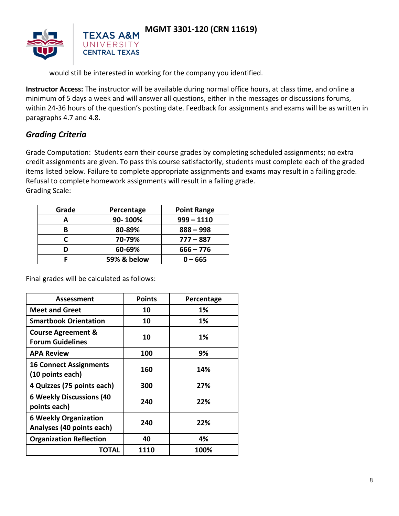

would still be interested in working for the company you identified.

**Instructor Access:** The instructor will be available during normal office hours, at class time, and online a minimum of 5 days a week and will answer all questions, either in the messages or discussions forums, within 24-36 hours of the question's posting date. Feedback for assignments and exams will be as written in paragraphs 4.7 and 4.8.

# *Grading Criteria*

Grade Computation: Students earn their course grades by completing scheduled assignments; no extra credit assignments are given. To pass this course satisfactorily, students must complete each of the graded items listed below. Failure to complete appropriate assignments and exams may result in a failing grade. Refusal to complete homework assignments will result in a failing grade. Grading Scale:

| Grade | Percentage  | <b>Point Range</b> |  |
|-------|-------------|--------------------|--|
| А     | 90-100%     | $999 - 1110$       |  |
| В     | 80-89%      | $888 - 998$        |  |
|       | 70-79%      | $777 - 887$        |  |
|       | 60-69%      | $666 - 776$        |  |
|       | 59% & below | - 665              |  |

Final grades will be calculated as follows:

| Assessment                                                | <b>Points</b> | Percentage |
|-----------------------------------------------------------|---------------|------------|
| <b>Meet and Greet</b>                                     | 10            | 1%         |
| <b>Smartbook Orientation</b>                              | 10            | 1%         |
| <b>Course Agreement &amp;</b><br><b>Forum Guidelines</b>  | 10            | 1%         |
| <b>APA Review</b>                                         | 100           | 9%         |
| <b>16 Connect Assignments</b><br>(10 points each)         | 160           | 14%        |
| 4 Quizzes (75 points each)                                | 300           | 27%        |
| <b>6 Weekly Discussions (40</b><br>points each)           | 240           | 22%        |
| <b>6 Weekly Organization</b><br>Analyses (40 points each) | 240           | 22%        |
| <b>Organization Reflection</b>                            | 40            | 4%         |
| ΤΟΤΑL                                                     | 1110          | 100%       |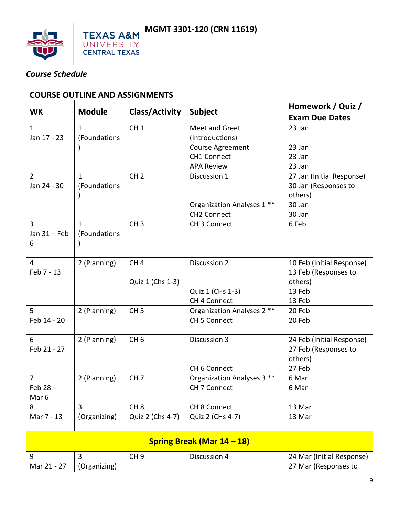

# *Course Schedule*

| <b>COURSE OUTLINE AND ASSIGNMENTS</b>            |                              |                                     |                                                   |                                                                        |  |  |  |
|--------------------------------------------------|------------------------------|-------------------------------------|---------------------------------------------------|------------------------------------------------------------------------|--|--|--|
| <b>WK</b>                                        | <b>Module</b>                | <b>Class/Activity</b>               | <b>Subject</b>                                    | Homework / Quiz /<br><b>Exam Due Dates</b>                             |  |  |  |
| $\mathbf{1}$<br>Jan 17 - 23                      | $\mathbf{1}$<br>(Foundations | CH <sub>1</sub>                     | Meet and Greet<br>(Introductions)                 | 23 Jan                                                                 |  |  |  |
|                                                  |                              |                                     | Course Agreement                                  | 23 Jan                                                                 |  |  |  |
|                                                  |                              |                                     | <b>CH1 Connect</b>                                | 23 Jan                                                                 |  |  |  |
|                                                  |                              |                                     | <b>APA Review</b>                                 | 23 Jan                                                                 |  |  |  |
| $\overline{2}$<br>Jan 24 - 30                    | $\mathbf{1}$<br>(Foundations | CH <sub>2</sub>                     | Discussion 1                                      | 27 Jan (Initial Response)<br>30 Jan (Responses to<br>others)<br>30 Jan |  |  |  |
|                                                  |                              |                                     | Organization Analyses 1 **<br><b>CH2 Connect</b>  | 30 Jan                                                                 |  |  |  |
| 3<br>Jan $31$ – Feb<br>6                         | $\mathbf{1}$<br>(Foundations | CH <sub>3</sub>                     | CH 3 Connect                                      | 6 Feb                                                                  |  |  |  |
| $\overline{4}$<br>Feb 7 - 13                     | 2 (Planning)                 | CH <sub>4</sub><br>Quiz 1 (Chs 1-3) | Discussion 2                                      | 10 Feb (Initial Response)<br>13 Feb (Responses to<br>others)           |  |  |  |
|                                                  |                              |                                     | Quiz 1 (CHs 1-3)<br>CH 4 Connect                  | 13 Feb<br>13 Feb                                                       |  |  |  |
| 5<br>Feb 14 - 20                                 | 2 (Planning)                 | CH <sub>5</sub>                     | Organization Analyses 2 **<br><b>CH 5 Connect</b> | 20 Feb<br>20 Feb                                                       |  |  |  |
| 6<br>Feb 21 - 27                                 | 2 (Planning)                 | CH <sub>6</sub>                     | Discussion 3                                      | 24 Feb (Initial Response)<br>27 Feb (Responses to<br>others)           |  |  |  |
|                                                  |                              |                                     | CH 6 Connect                                      | 27 Feb                                                                 |  |  |  |
| $\overline{7}$<br>Feb $28 -$<br>Mar <sub>6</sub> | 2 (Planning)                 | CH <sub>7</sub>                     | Organization Analyses 3 **<br>CH 7 Connect        | 6 Mar<br>6 Mar                                                         |  |  |  |
| 8                                                | 3                            | CH <sub>8</sub>                     | CH 8 Connect                                      | 13 Mar                                                                 |  |  |  |
| Mar 7 - 13                                       | (Organizing)                 | Quiz 2 (Chs 4-7)                    | Quiz 2 (CHs 4-7)                                  | 13 Mar                                                                 |  |  |  |
| Spring Break (Mar 14 - 18)                       |                              |                                     |                                                   |                                                                        |  |  |  |
| 9                                                | 3                            | CH <sub>9</sub>                     | Discussion 4                                      | 24 Mar (Initial Response)                                              |  |  |  |
| Mar 21 - 27                                      | (Organizing)                 |                                     |                                                   | 27 Mar (Responses to                                                   |  |  |  |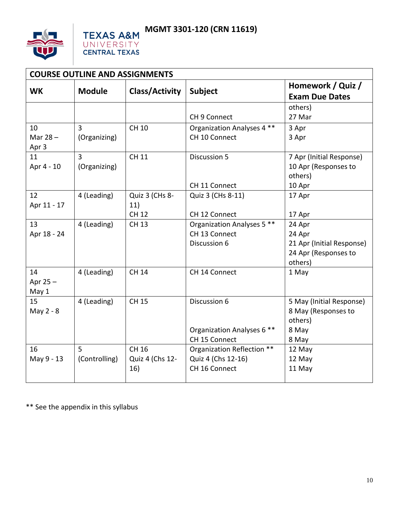



| <b>COURSE OUTLINE AND ASSIGNMENTS</b> |                |                       |                            |                                            |  |  |
|---------------------------------------|----------------|-----------------------|----------------------------|--------------------------------------------|--|--|
| <b>WK</b>                             | <b>Module</b>  | <b>Class/Activity</b> | <b>Subject</b>             | Homework / Quiz /<br><b>Exam Due Dates</b> |  |  |
|                                       |                |                       |                            | others)                                    |  |  |
|                                       |                |                       | CH 9 Connect               | 27 Mar                                     |  |  |
| 10                                    | $\overline{3}$ | <b>CH 10</b>          | Organization Analyses 4 ** | 3 Apr                                      |  |  |
| Mar $28 -$                            | (Organizing)   |                       | CH 10 Connect              | 3 Apr                                      |  |  |
| Apr 3                                 |                |                       |                            |                                            |  |  |
| 11                                    | $\overline{3}$ | <b>CH 11</b>          | <b>Discussion 5</b>        | 7 Apr (Initial Response)                   |  |  |
| Apr 4 - 10                            | (Organizing)   |                       |                            | 10 Apr (Responses to                       |  |  |
|                                       |                |                       |                            | others)                                    |  |  |
|                                       |                |                       | CH 11 Connect              | 10 Apr                                     |  |  |
| 12                                    | 4 (Leading)    | Quiz 3 (CHs 8-        | Quiz 3 (CHs 8-11)          | 17 Apr                                     |  |  |
| Apr 11 - 17                           |                | 11)                   |                            |                                            |  |  |
|                                       |                | <b>CH 12</b>          | CH 12 Connect              | 17 Apr                                     |  |  |
| 13                                    | 4 (Leading)    | <b>CH 13</b>          | Organization Analyses 5 ** | 24 Apr                                     |  |  |
| Apr 18 - 24                           |                |                       | CH 13 Connect              | 24 Apr                                     |  |  |
|                                       |                |                       | Discussion 6               | 21 Apr (Initial Response)                  |  |  |
|                                       |                |                       |                            | 24 Apr (Responses to                       |  |  |
| 14                                    |                | <b>CH 14</b>          | CH 14 Connect              | others)                                    |  |  |
| Apr 25 -                              | 4 (Leading)    |                       |                            | 1 May                                      |  |  |
| May 1                                 |                |                       |                            |                                            |  |  |
| 15                                    | 4 (Leading)    | <b>CH 15</b>          | Discussion 6               | 5 May (Initial Response)                   |  |  |
| May 2 - 8                             |                |                       |                            | 8 May (Responses to                        |  |  |
|                                       |                |                       |                            | others)                                    |  |  |
|                                       |                |                       | Organization Analyses 6 ** | 8 May                                      |  |  |
|                                       |                |                       | CH 15 Connect              | 8 May                                      |  |  |
| 16                                    | 5              | CH 16                 | Organization Reflection ** | 12 May                                     |  |  |
| May 9 - 13                            | (Controlling)  | Quiz 4 (Chs 12-       | Quiz 4 (Chs 12-16)         | 12 May                                     |  |  |
|                                       |                | 16)                   | CH 16 Connect              | 11 May                                     |  |  |
|                                       |                |                       |                            |                                            |  |  |

\*\* See the appendix in this syllabus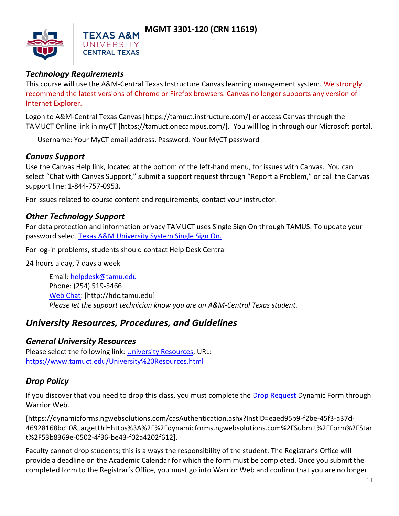

## *Technology Requirements*

This course will use the A&M-Central Texas Instructure Canvas learning management system. We strongly recommend the latest versions of Chrome or Firefox browsers. Canvas no longer supports any version of Internet Explorer.

Logon to A&M-Central Texas Canvas [https://tamuct.instructure.com/] or access Canvas through the TAMUCT Online link in myCT [https://tamuct.onecampus.com/]. You will log in through our Microsoft portal.

Username: Your MyCT email address. Password: Your MyCT password

## *Canvas Support*

Use the Canvas Help link, located at the bottom of the left-hand menu, for issues with Canvas. You can select "Chat with Canvas Support," submit a support request through "Report a Problem," or call the Canvas support line: 1-844-757-0953.

For issues related to course content and requirements, contact your instructor.

## *Other Technology Support*

For data protection and information privacy TAMUCT uses Single Sign On through TAMUS. To update your password select [Texas A&M University System Single Sign On.](https://sso.tamus.edu/Logon.aspx?entityID=https%3A%2F%2Fsso.tamus.edu%2Fshibboleth&return=https%3A%2F%2Fsso.tamus.edu%2FShibboleth.sso%2FDS%3FSAMLDS%3D1%26target%3Dcookie%253A1597543334_da19)

For log-in problems, students should contact Help Desk Central

24 hours a day, 7 days a week

Email: [helpdesk@tamu.edu](mailto:helpdesk@tamu.edu) Phone: (254) 519-5466 [Web Chat:](http://hdc.tamu.edu/) [http://hdc.tamu.edu] *Please let the support technician know you are an A&M-Central Texas student.*

# *University Resources, Procedures, and Guidelines*

#### *General University Resources*

Please select the following link: [University Resources,](https://www.tamuct.edu/University%20Resources.html) URL: <https://www.tamuct.edu/University%20Resources.html>

## *Drop Policy*

If you discover that you need to drop this class, you must complete the [Drop Request](https://dynamicforms.ngwebsolutions.com/casAuthentication.ashx?InstID=eaed95b9-f2be-45f3-a37d-46928168bc10&targetUrl=https%3A%2F%2Fdynamicforms.ngwebsolutions.com%2FSubmit%2FForm%2FStart%2F53b8369e-0502-4f36-be43-f02a4202f612) Dynamic Form through Warrior Web.

[https://dynamicforms.ngwebsolutions.com/casAuthentication.ashx?InstID=eaed95b9-f2be-45f3-a37d-46928168bc10&targetUrl=https%3A%2F%2Fdynamicforms.ngwebsolutions.com%2FSubmit%2FForm%2FStar t%2F53b8369e-0502-4f36-be43-f02a4202f612].

Faculty cannot drop students; this is always the responsibility of the student. The Registrar's Office will provide a deadline on the Academic Calendar for which the form must be completed. Once you submit the completed form to the Registrar's Office, you must go into Warrior Web and confirm that you are no longer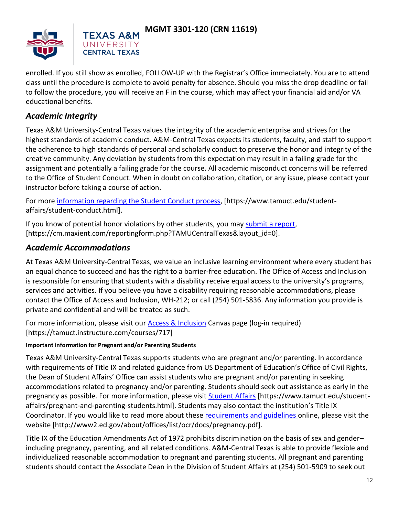



enrolled. If you still show as enrolled, FOLLOW-UP with the Registrar's Office immediately. You are to attend class until the procedure is complete to avoid penalty for absence. Should you miss the drop deadline or fail to follow the procedure, you will receive an F in the course, which may affect your financial aid and/or VA educational benefits.

## *Academic Integrity*

Texas A&M University-Central Texas values the integrity of the academic enterprise and strives for the highest standards of academic conduct. A&M-Central Texas expects its students, faculty, and staff to support the adherence to high standards of personal and scholarly conduct to preserve the honor and integrity of the creative community. Any deviation by students from this expectation may result in a failing grade for the assignment and potentially a failing grade for the course. All academic misconduct concerns will be referred to the Office of Student Conduct. When in doubt on collaboration, citation, or any issue, please contact your instructor before taking a course of action.

For more [information regarding the Student Conduct process,](https://nam04.safelinks.protection.outlook.com/?url=https%3A%2F%2Fwww.tamuct.edu%2Fstudent-affairs%2Fstudent-conduct.html&data=04%7C01%7Clisa.bunkowski%40tamuct.edu%7Ccfb6e486f24745f53e1a08d910055cb2%7C9eed4e3000f744849ff193ad8005acec%7C0%7C0%7C637558437485252160%7CUnknown%7CTWFpbGZsb3d8eyJWIjoiMC4wLjAwMDAiLCJQIjoiV2luMzIiLCJBTiI6Ik1haWwiLCJXVCI6Mn0%3D%7C1000&sdata=yjftDEVHvLX%2FhM%2FcFU0B99krV1RgEWR%2BJ%2BhvtoR6TYk%3D&reserved=0) [https://www.tamuct.edu/studentaffairs/student-conduct.html].

If you know of potential honor violations by other students, you may [submit a report,](https://nam04.safelinks.protection.outlook.com/?url=https%3A%2F%2Fcm.maxient.com%2Freportingform.php%3FTAMUCentralTexas%26layout_id%3D0&data=04%7C01%7Clisa.bunkowski%40tamuct.edu%7Ccfb6e486f24745f53e1a08d910055cb2%7C9eed4e3000f744849ff193ad8005acec%7C0%7C0%7C637558437485262157%7CUnknown%7CTWFpbGZsb3d8eyJWIjoiMC4wLjAwMDAiLCJQIjoiV2luMzIiLCJBTiI6Ik1haWwiLCJXVCI6Mn0%3D%7C1000&sdata=CXGkOa6uPDPX1IMZ87z3aZDq2n91xfHKu4MMS43Ejjk%3D&reserved=0) [https://cm.maxient.com/reportingform.php?TAMUCentralTexas&layout\_id=0].

#### *Academic Accommodations*

At Texas A&M University-Central Texas, we value an inclusive learning environment where every student has an equal chance to succeed and has the right to a barrier-free education. The Office of Access and Inclusion is responsible for ensuring that students with a disability receive equal access to the university's programs, services and activities. If you believe you have a disability requiring reasonable accommodations, please contact the Office of Access and Inclusion, WH-212; or call (254) 501-5836. Any information you provide is private and confidential and will be treated as such.

For more information, please visit our [Access & Inclusion](https://tamuct.instructure.com/courses/717) Canvas page (log-in required) [https://tamuct.instructure.com/courses/717]

#### **Important information for Pregnant and/or Parenting Students**

UNIVERSITY **CENTRAL TEXAS** 

Texas A&M University-Central Texas supports students who are pregnant and/or parenting. In accordance with requirements of Title IX and related guidance from US Department of Education's Office of Civil Rights, the Dean of Student Affairs' Office can assist students who are pregnant and/or parenting in seeking accommodations related to pregnancy and/or parenting. Students should seek out assistance as early in the pregnancy as possible. For more information, please visit **Student Affairs [https://www.tamuct.edu/student**affairs/pregnant-and-parenting-students.html]. Students may also contact the institution's Title IX Coordinator. If you would like to read more about these [requirements and guidelines](http://www2.ed.gov/about/offices/list/ocr/docs/pregnancy.pdf) online, please visit the website [http://www2.ed.gov/about/offices/list/ocr/docs/pregnancy.pdf].

Title IX of the Education Amendments Act of 1972 prohibits discrimination on the basis of sex and gender– including pregnancy, parenting, and all related conditions. A&M-Central Texas is able to provide flexible and individualized reasonable accommodation to pregnant and parenting students. All pregnant and parenting students should contact the Associate Dean in the Division of Student Affairs at (254) 501-5909 to seek out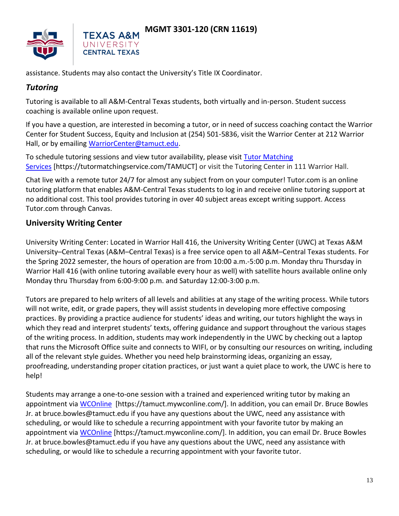



assistance. Students may also contact the University's Title IX Coordinator.

UNIVERSITY **CENTRAL TEXAS** 

### *Tutoring*

Tutoring is available to all A&M-Central Texas students, both virtually and in-person. Student success coaching is available online upon request.

If you have a question, are interested in becoming a tutor, or in need of success coaching contact the Warrior Center for Student Success, Equity and Inclusion at (254) 501-5836, visit the Warrior Center at 212 Warrior Hall, or by emailing [WarriorCenter@tamuct.edu.](mailto:WarriorCenter@tamuct.edu)

To schedule tutoring sessions and view tutor availability, please visit Tutor Matching [Services](https://tutormatchingservice.com/TAMUCT) [https://tutormatchingservice.com/TAMUCT] or visit the Tutoring Center in 111 Warrior Hall.

Chat live with a remote tutor 24/7 for almost any subject from on your computer! Tutor.com is an online tutoring platform that enables A&M-Central Texas students to log in and receive online tutoring support at no additional cost. This tool provides tutoring in over 40 subject areas except writing support. Access Tutor.com through Canvas.

## **University Writing Center**

University Writing Center: Located in Warrior Hall 416, the University Writing Center (UWC) at Texas A&M University–Central Texas (A&M–Central Texas) is a free service open to all A&M–Central Texas students. For the Spring 2022 semester, the hours of operation are from 10:00 a.m.-5:00 p.m. Monday thru Thursday in Warrior Hall 416 (with online tutoring available every hour as well) with satellite hours available online only Monday thru Thursday from 6:00-9:00 p.m. and Saturday 12:00-3:00 p.m.

Tutors are prepared to help writers of all levels and abilities at any stage of the writing process. While tutors will not write, edit, or grade papers, they will assist students in developing more effective composing practices. By providing a practice audience for students' ideas and writing, our tutors highlight the ways in which they read and interpret students' texts, offering guidance and support throughout the various stages of the writing process. In addition, students may work independently in the UWC by checking out a laptop that runs the Microsoft Office suite and connects to WIFI, or by consulting our resources on writing, including all of the relevant style guides. Whether you need help brainstorming ideas, organizing an essay, proofreading, understanding proper citation practices, or just want a quiet place to work, the UWC is here to help!

Students may arrange a one-to-one session with a trained and experienced writing tutor by making an appointment via [WCOnline](https://tamuct.mywconline.com/) [https://tamuct.mywconline.com/]. In addition, you can email Dr. Bruce Bowles Jr. at bruce.bowles@tamuct.edu if you have any questions about the UWC, need any assistance with scheduling, or would like to schedule a recurring appointment with your favorite tutor by making an appointment via [WCOnline](https://tamuct.mywconline.com/) [https://tamuct.mywconline.com/]. In addition, you can email Dr. Bruce Bowles Jr. at bruce.bowles@tamuct.edu if you have any questions about the UWC, need any assistance with scheduling, or would like to schedule a recurring appointment with your favorite tutor.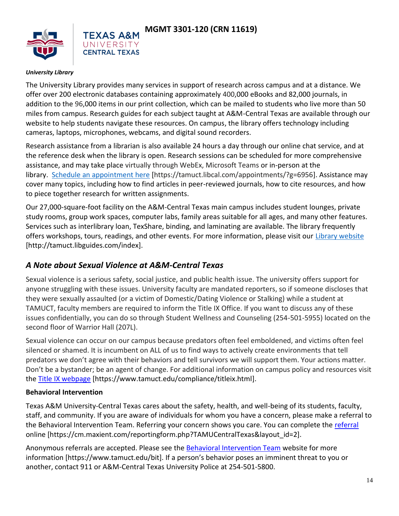



#### *University Library*

The University Library provides many services in support of research across campus and at a distance. We offer over 200 electronic databases containing approximately 400,000 eBooks and 82,000 journals, in addition to the 96,000 items in our print collection, which can be mailed to students who live more than 50 miles from campus. Research guides for each subject taught at A&M-Central Texas are available through our website to help students navigate these resources. On campus, the library offers technology including cameras, laptops, microphones, webcams, and digital sound recorders.

Research assistance from a librarian is also available 24 hours a day through our online chat service, and at the reference desk when the library is open. Research sessions can be scheduled for more comprehensive assistance, and may take place virtually through WebEx, Microsoft Teams or in-person at the library. [Schedule an appointment here](https://nam04.safelinks.protection.outlook.com/?url=https%3A%2F%2Ftamuct.libcal.com%2Fappointments%2F%3Fg%3D6956&data=04%7C01%7Clisa.bunkowski%40tamuct.edu%7Cde2c07d9f5804f09518008d9ab7ba6ff%7C9eed4e3000f744849ff193ad8005acec%7C0%7C0%7C637729369835011558%7CUnknown%7CTWFpbGZsb3d8eyJWIjoiMC4wLjAwMDAiLCJQIjoiV2luMzIiLCJBTiI6Ik1haWwiLCJXVCI6Mn0%3D%7C3000&sdata=KhtjgRSAw9aq%2FoBsB6wyu8b7PSuGN5EGPypzr3Ty2No%3D&reserved=0) [https://tamuct.libcal.com/appointments/?g=6956]. Assistance may cover many topics, including how to find articles in peer-reviewed journals, how to cite resources, and how to piece together research for written assignments.

Our 27,000-square-foot facility on the A&M-Central Texas main campus includes student lounges, private study rooms, group work spaces, computer labs, family areas suitable for all ages, and many other features. Services such as interlibrary loan, TexShare, binding, and laminating are available. The library frequently offers workshops, tours, readings, and other events. For more information, please visit our [Library website](https://nam04.safelinks.protection.outlook.com/?url=https%3A%2F%2Ftamuct.libguides.com%2Findex&data=04%7C01%7Clisa.bunkowski%40tamuct.edu%7C7d8489e8839a4915335f08d916f067f2%7C9eed4e3000f744849ff193ad8005acec%7C0%7C0%7C637566044056484222%7CUnknown%7CTWFpbGZsb3d8eyJWIjoiMC4wLjAwMDAiLCJQIjoiV2luMzIiLCJBTiI6Ik1haWwiLCJXVCI6Mn0%3D%7C1000&sdata=2R755V6rcIyedGrd4Os5rkgn1PvhHKU3kUV1vBKiHFo%3D&reserved=0) [http://tamuct.libguides.com/index].

## *A Note about Sexual Violence at A&M-Central Texas*

Sexual violence is a serious safety, social justice, and public health issue. The university offers support for anyone struggling with these issues. University faculty are mandated reporters, so if someone discloses that they were sexually assaulted (or a victim of Domestic/Dating Violence or Stalking) while a student at TAMUCT, faculty members are required to inform the Title IX Office. If you want to discuss any of these issues confidentially, you can do so through Student Wellness and Counseling (254-501-5955) located on the second floor of Warrior Hall (207L).

Sexual violence can occur on our campus because predators often feel emboldened, and victims often feel silenced or shamed. It is incumbent on ALL of us to find ways to actively create environments that tell predators we don't agree with their behaviors and tell survivors we will support them. Your actions matter. Don't be a bystander; be an agent of change. For additional information on campus policy and resources visit the [Title IX webpage](https://www.tamuct.edu/compliance/titleix.html) [\[https://www.tamuct.edu/compliance/titleix.html\]](https://www.tamuct.edu/compliance/titleix.html).

#### **Behavioral Intervention**

Texas A&M University-Central Texas cares about the safety, health, and well-being of its students, faculty, staff, and community. If you are aware of individuals for whom you have a concern, please make a referral to the Behavioral Intervention Team. Referring your concern shows you care. You can complete the [referral](https://cm.maxient.com/reportingform.php?TAMUCentralTexas&layout_id=2) online [https://cm.maxient.com/reportingform.php?TAMUCentralTexas&layout\_id=2].

Anonymous referrals are accepted. Please see the [Behavioral Intervention Team](https://www.tamuct.edu/bit) website for more information [https://www.tamuct.edu/bit]. If a person's behavior poses an imminent threat to you or another, contact 911 or A&M-Central Texas University Police at 254-501-5800.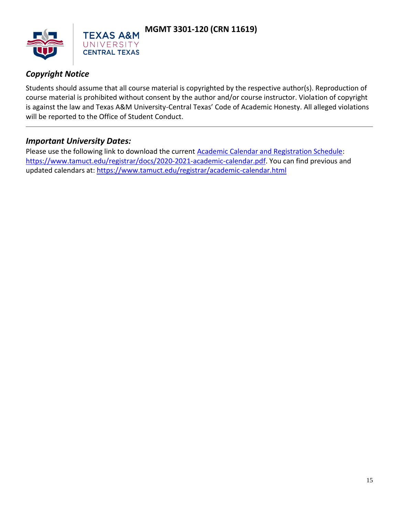

# *Copyright Notice*

Students should assume that all course material is copyrighted by the respective author(s). Reproduction of course material is prohibited without consent by the author and/or course instructor. Violation of copyright is against the law and Texas A&M University-Central Texas' Code of Academic Honesty. All alleged violations will be reported to the Office of Student Conduct.

#### *Important University Dates:*

Please use the following link to download the current **Academic Calendar and Registration Schedule**: [https://www.tamuct.edu/registrar/docs/2020-2021-academic-calendar.pdf.](https://www.tamuct.edu/registrar/docs/2020-2021-academic-calendar.pdf) You can find previous and updated calendars at:<https://www.tamuct.edu/registrar/academic-calendar.html>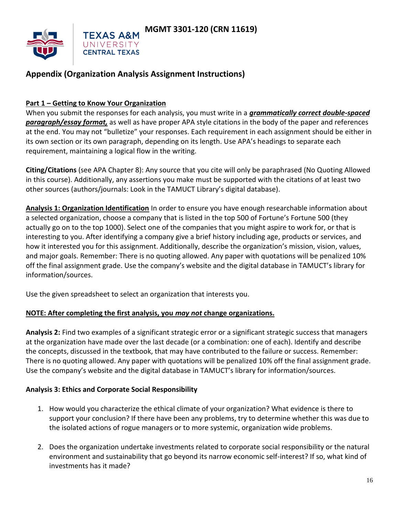

# **Appendix (Organization Analysis Assignment Instructions)**

#### **Part 1 – Getting to Know Your Organization**

When you submit the responses for each analysis, you must write in a *grammatically correct double-spaced paragraph/essay format,* as well as have proper APA style citations in the body of the paper and references at the end. You may not "bulletize" your responses. Each requirement in each assignment should be either in its own section or its own paragraph, depending on its length. Use APA's headings to separate each requirement, maintaining a logical flow in the writing.

**Citing/Citations** (see APA Chapter 8): Any source that you cite will only be paraphrased (No Quoting Allowed in this course). Additionally, any assertions you make must be supported with the citations of at least two other sources (authors/journals: Look in the TAMUCT Library's digital database).

**Analysis 1: Organization Identification** In order to ensure you have enough researchable information about a selected organization, choose a company that is listed in the top 500 of Fortune's Fortune 500 (they actually go on to the top 1000). Select one of the companies that you might aspire to work for, or that is interesting to you. After identifying a company give a brief history including age, products or services, and how it interested you for this assignment. Additionally, describe the organization's mission, vision, values, and major goals. Remember: There is no quoting allowed. Any paper with quotations will be penalized 10% off the final assignment grade. Use the company's website and the digital database in TAMUCT's library for information/sources.

Use the given spreadsheet to select an organization that interests you.

#### **NOTE: After completing the first analysis, you** *may not* **change organizations.**

**Analysis 2:** Find two examples of a significant strategic error or a significant strategic success that managers at the organization have made over the last decade (or a combination: one of each). Identify and describe the concepts, discussed in the textbook, that may have contributed to the failure or success. Remember: There is no quoting allowed. Any paper with quotations will be penalized 10% off the final assignment grade. Use the company's website and the digital database in TAMUCT's library for information/sources.

#### **Analysis 3: Ethics and Corporate Social Responsibility**

- 1. How would you characterize the ethical climate of your organization? What evidence is there to support your conclusion? If there have been any problems, try to determine whether this was due to the isolated actions of rogue managers or to more systemic, organization wide problems.
- 2. Does the organization undertake investments related to corporate social responsibility or the natural environment and sustainability that go beyond its narrow economic self-interest? If so, what kind of investments has it made?